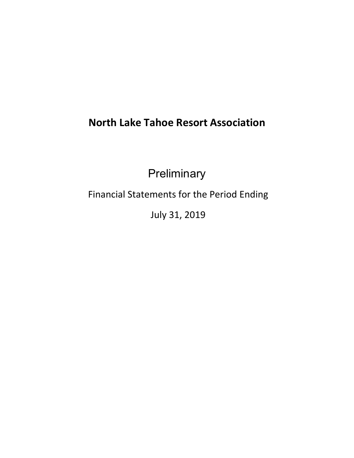## **North Lake Tahoe Resort Association**

**Preliminary** 

Financial Statements for the Period Ending

July 31, 2019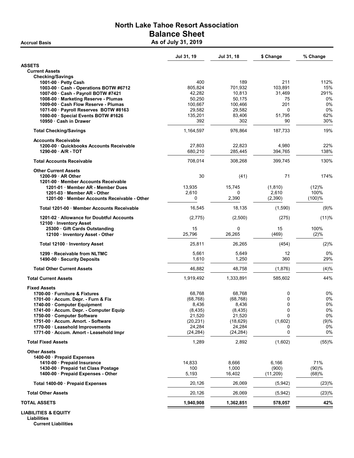## North Lake Tahoe Resort Association Balance Sheet Accrual Basis **Accrual Basis** As of July 31, 2019

|                                                                          | Jul 31, 19       | Jul 31, 18       | \$ Change    | % Change    |
|--------------------------------------------------------------------------|------------------|------------------|--------------|-------------|
| <b>ASSETS</b>                                                            |                  |                  |              |             |
| <b>Current Assets</b>                                                    |                  |                  |              |             |
| <b>Checking/Savings</b>                                                  |                  |                  |              |             |
| 1001-00 $\cdot$ Petty Cash                                               | 400              | 189              | 211          | 112%        |
| 1003-00 Cash - Operations BOTW #6712                                     | 805,824          | 701,932          | 103,891      | 15%<br>291% |
| 1007-00 · Cash - Payroll BOTW #7421                                      | 42,282<br>50,250 | 10,813<br>50,175 | 31,469<br>75 | 0%          |
| 1008-00 Marketing Reserve - Plumas<br>1009-00 Cash Flow Reserve - Plumas | 100,667          | 100,466          | 201          | 0%          |
| 1071-00 · Payroll Reserves BOTW #8163                                    | 29,582           | 29,582           | $\Omega$     | 0%          |
| 1080-00 · Special Events BOTW #1626                                      | 135,201          | 83,406           | 51,795       | 62%         |
| 10950 · Cash in Drawer                                                   | 392              | 302              | 90           | 30%         |
| <b>Total Checking/Savings</b>                                            | 1,164,597        | 976,864          | 187.733      | 19%         |
| <b>Accounts Receivable</b>                                               |                  |                  |              |             |
| 1200-00 Quickbooks Accounts Receivable                                   | 27,803           | 22,823           | 4,980        | 22%         |
| 1290-00 - A/R - TOT                                                      | 680,210          | 285,445          | 394,765      | 138%        |
|                                                                          |                  |                  |              |             |
| <b>Total Accounts Receivable</b>                                         | 708,014          | 308,268          | 399,745      | 130%        |
| <b>Other Current Assets</b>                                              |                  |                  |              |             |
| 1200-99 AR Other                                                         | 30               | (41)             | 71           | 174%        |
| 1201-00 Member Accounts Receivable                                       |                  |                  |              |             |
| 1201-01 Member AR - Member Dues                                          | 13,935           | 15,745           | (1, 810)     | (12)%       |
| 1201-03 Member AR - Other                                                | 2,610            | 0                | 2,610        | 100%        |
| 1201-00 Member Accounts Receivable - Other                               | 0                | 2,390            | (2,390)      | (100)%      |
| Total 1201-00 Member Accounts Receivable                                 | 16,545           | 18,135           | (1,590)      | (9)%        |
| 1201-02 · Allowance for Doubtful Accounts                                | (2, 775)         | (2,500)          | (275)        | (11)%       |
| 12100 · Inventory Asset                                                  |                  |                  |              |             |
| 25300 Gift Cards Outstanding                                             | 15               | 0                | 15           | 100%        |
| 12100 · Inventory Asset - Other                                          | 25,796           | 26,265           | (469)        | (2)%        |
| Total 12100 · Inventory Asset                                            | 25,811           | 26,265           | (454)        | (2)%        |
| 1299 · Receivable from NLTMC                                             | 5,661            | 5,649            | 12           | 0%          |
| 1490-00 Security Deposits                                                | 1,610            | 1,250            | 360          | 29%         |
| <b>Total Other Current Assets</b>                                        | 46,882           | 48,758           | (1,876)      | (4)%        |
| <b>Total Current Assets</b>                                              | 1,919,492        | 1,333,891        | 585,602      | 44%         |
| <b>Fixed Assets</b>                                                      |                  |                  |              |             |
| 1700-00 Furniture & Fixtures                                             | 68,768           | 68,768           | 0            | 0%          |
| 1701-00 · Accum. Depr. - Furn & Fix                                      | (68, 768)        | (68, 768)        | 0            | 0%          |
| 1740-00 Computer Equipment                                               | 8,436            | 8,436            | 0            | 0%          |
| 1741-00 · Accum. Depr. - Computer Equip                                  | (8, 435)         | (8, 435)         | 0            | $0\%$       |
| 1750-00 Computer Software                                                | 21,520           | 21,520           | 0            | 0%          |
| 1751-00 · Accum. Amort. - Software                                       | (20, 231)        | (18, 629)        | (1,602)      | (9)%        |
| 1770-00 · Leasehold Improvements                                         | 24,284           | 24,284           | 0            | 0%          |
| 1771-00 · Accum. Amort - Leasehold Impr                                  | (24, 284)        | (24, 284)        | 0            | 0%          |
| <b>Total Fixed Assets</b>                                                | 1,289            | 2,892            | (1,602)      | (55)%       |
| <b>Other Assets</b>                                                      |                  |                  |              |             |
| 1400-00 · Prepaid Expenses                                               |                  |                  |              |             |
| 1410-00 Prepaid Insurance                                                | 14,833           | 8,666            | 6,166        | 71%         |
| 1430-00 · Prepaid 1st Class Postage                                      | 100              | 1,000            | (900)        | (90)%       |
| 1400-00 · Prepaid Expenses - Other                                       | 5,193            | 16,402           | (11,209)     | (68)%       |
| Total 1400-00 · Prepaid Expenses                                         | 20,126           | 26,069           | (5,942)      | (23)%       |
| <b>Total Other Assets</b>                                                | 20,126           | 26,069           | (5,942)      | (23)%       |
| <b>TOTAL ASSETS</b>                                                      | 1,940,908        | 1,362,851        | 578,057      | 42%         |
| <b>LIABILITIES &amp; EQUITY</b><br>Liabilities                           |                  |                  |              |             |

Current Liabilities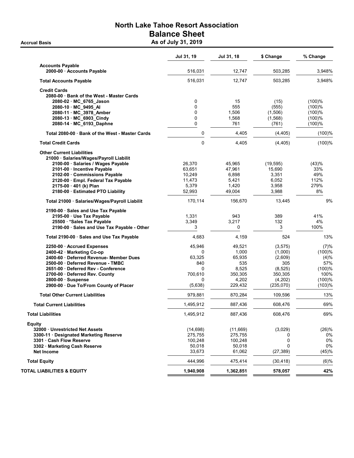## North Lake Tahoe Resort Association Balance Sheet Accrual Basis **Accrual Basis** As of July 31, 2019

|                                                       | Jul 31, 19  | Jul 31, 18 | \$ Change | % Change |
|-------------------------------------------------------|-------------|------------|-----------|----------|
| <b>Accounts Payable</b><br>2000-00 · Accounts Payable | 516,031     | 12,747     | 503,285   | 3,948%   |
|                                                       |             |            |           |          |
| <b>Total Accounts Payable</b>                         | 516,031     | 12,747     | 503,285   | 3,948%   |
| <b>Credit Cards</b>                                   |             |            |           |          |
| 2080-00 Bank of the West - Master Cards               |             |            |           |          |
| 2080-02 MC_6765_Jason                                 | 0           | 15         | (15)      | (100)%   |
| 2080-10 MC_9495_AI                                    | 0           | 555        | (555)     | (100)%   |
| 2080-11 MC 3978 Amber                                 | 0           | 1,506      | (1,506)   | (100)%   |
| 2080-13 MC_6903_Cindy                                 | 0           | 1,568      | (1, 568)  | (100)%   |
| 2080-14 MC 6193 Daphne                                | 0           | 761        | (761)     | (100)%   |
| Total 2080-00 Bank of the West - Master Cards         | 0           | 4,405      | (4, 405)  | (100)%   |
| <b>Total Credit Cards</b>                             | $\mathbf 0$ | 4,405      | (4, 405)  | (100)%   |
| <b>Other Current Liabilities</b>                      |             |            |           |          |
| 21000 · Salaries/Wages/Payroll Liabilit               |             |            |           |          |
| 2100-00 · Salaries / Wages Payable                    | 26,370      | 45,965     | (19, 595) | (43)%    |
| 2101-00 Incentive Payable                             | 63,651      | 47,961     | 15,690    | 33%      |
| 2102-00 Commissions Payable                           | 10,249      | 6,898      | 3,351     | 49%      |
| 2120-00 · Empl. Federal Tax Payable                   | 11,473      | 5,421      | 6,052     | 112%     |
| 2175-00 · 401 (k) Plan                                | 5,379       | 1,420      | 3,958     | 279%     |
| 2180-00 · Estimated PTO Liability                     | 52,993      | 49,004     | 3,988     | 8%       |
| Total 21000 · Salaries/Wages/Payroll Liabilit         | 170,114     | 156,670    | 13,445    | 9%       |
| 2190-00 · Sales and Use Tax Payable                   |             |            |           |          |
| 2195-00 · Use Tax Payable                             | 1,331       | 943        | 389       | 41%      |
| 25500 * Sales Tax Payable                             | 3,349       | 3,217      | 132       | 4%       |
| 2190-00 · Sales and Use Tax Payable - Other           | 3           | 0          | 3         | 100%     |
| Total 2190-00 · Sales and Use Tax Payable             | 4,683       | 4,159      | 524       | 13%      |
| 2250-00 · Accrued Expenses                            | 45,946      | 49,521     | (3, 575)  | (7)%     |
| 2400-42 Marketing Co-op                               | 0           | 1,000      | (1,000)   | (100)%   |
| 2400-60 · Deferred Revenue- Member Dues               | 63,325      | 65,935     | (2,609)   | (4)%     |
| 2500-00 Deferred Revenue - TMBC                       | 840         | 535        | 305       | 57%      |
| 2651-00 Deferred Rev - Conference                     | $\Omega$    | 8,525      | (8, 525)  | (100)%   |
| 2700-00 Deferred Rev. County                          | 700,610     | 350,305    | 350,305   | 100%     |
| 2800-00 · Suspense                                    | 0           | 4,202      | (4,202)   | (100)%   |
| 2900-00 · Due To/From County of Placer                | (5,638)     | 229,432    | (235,070) | (103)%   |
| <b>Total Other Current Liabilities</b>                | 979,881     | 870,284    | 109,596   | 13%      |
| <b>Total Current Liabilities</b>                      | 1,495,912   | 887,436    | 608,476   | 69%      |
| <b>Total Liabilities</b>                              | 1,495,912   | 887,436    | 608,476   | 69%      |
|                                                       |             |            |           |          |
| <b>Equity</b><br>32000 Unrestricted Net Assets        | (14, 698)   | (11,669)   | (3,029)   | (26)%    |
|                                                       |             |            |           | 0%       |
| 3300-11 · Designated Marketing Reserve                | 275,755     | 275,755    | 0<br>0    | 0%       |
| 3301 Cash Flow Reserve                                | 100,248     | 100,248    | 0         | 0%       |
| 3302 · Marketing Cash Reserve                         | 50,018      | 50,018     |           |          |
| <b>Net Income</b>                                     | 33,673      | 61,062     | (27, 389) | (45)%    |
| <b>Total Equity</b>                                   | 444,996     | 475,414    | (30, 418) | (6)%     |
| TOTAL LIABILITIES & EQUITY                            | 1,940,908   | 1,362,851  | 578,057   | 42%      |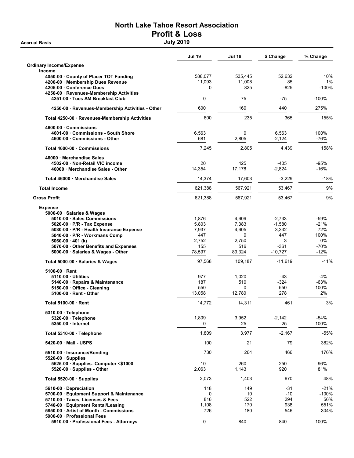# North Lake Tahoe Resort Association Profit & Loss<br>July 2019

**Accrual Basis** 

|                                                                     | <b>Jul 19</b> | Jul 18  | \$ Change | % Change |
|---------------------------------------------------------------------|---------------|---------|-----------|----------|
| <b>Ordinary Income/Expense</b><br>Income                            |               |         |           |          |
| 4050-00 County of Placer TOT Funding                                | 588,077       | 535,445 | 52,632    | 10%      |
| 4200-00 · Membership Dues Revenue                                   | 11,093        | 11,008  | 85        | 1%       |
| 4205-00 Conference Dues<br>4250-00 · Revenues-Membership Activities | 0             | 825     | $-825$    | $-100%$  |
| 4251-00 Tues AM Breakfast Club                                      | $\mathbf 0$   | 75      | -75       | $-100%$  |
| 4250-00 · Revenues-Membership Activities - Other                    | 600           | 160     | 440       | 275%     |
| Total 4250-00 · Revenues-Membership Activities                      | 600           | 235     | 365       | 155%     |
| 4600-00 Commissions                                                 |               |         |           |          |
| 4601-00 Commissions - South Shore                                   | 6,563         | 0       | 6,563     | 100%     |
| 4600-00 Commissions - Other                                         | 681           | 2,805   | $-2,124$  | -76%     |
| Total 4600-00 Commissions                                           | 7,245         | 2,805   | 4,439     | 158%     |
| 46000 Merchandise Sales                                             |               |         |           |          |
| 4502-00 Non-Retail VIC income                                       | 20            | 425     | $-405$    | -95%     |
| 46000 Merchandise Sales - Other                                     | 14,354        | 17,178  | $-2,824$  | -16%     |
| Total 46000 · Merchandise Sales                                     | 14.374        | 17,603  | $-3,229$  | $-18%$   |
| <b>Total Income</b>                                                 | 621,388       | 567,921 | 53,467    | 9%       |
| <b>Gross Profit</b>                                                 | 621,388       | 567,921 | 53,467    | 9%       |
| <b>Expense</b>                                                      |               |         |           |          |
| 5000-00 · Salaries & Wages                                          |               |         |           |          |
| 5010-00 · Sales Commissions                                         | 1,876         | 4,609   | $-2,733$  | -59%     |
| 5020-00 · P/R - Tax Expense                                         | 5,803         | 7,383   | $-1,580$  | $-21%$   |
| 5030-00 · P/R - Health Insurance Expense                            | 7,937         | 4,605   | 3,332     | 72%      |
| 5040-00 P/R - Workmans Comp                                         | 447           | 0       | 447       | 100%     |
| 5060-00 $\cdot$ 401 (k)                                             | 2,752         | 2,750   | 3         | 0%       |
| 5070-00 Other Benefits and Expenses                                 | 155           | 516     | -361      | $-70%$   |
| 5000-00 · Salaries & Wages - Other                                  | 78,597        | 89,324  | $-10,727$ | $-12%$   |
| Total 5000-00 · Salaries & Wages                                    | 97,568        | 109,187 | $-11,619$ | $-11%$   |
| 5100-00 Rent                                                        |               |         |           |          |
| 5110-00 Utilities                                                   | 977           | 1,020   | -43       | -4%      |
| 5140-00 Repairs & Maintenance                                       | 187           | 510     | $-324$    | $-63%$   |
| 5150-00 · Office - Cleaning                                         | 550           | 0       | 550       | 100%     |
| 5100-00 · Rent - Other                                              | 13,058        | 12,780  | 278       | 2%       |
| Total 5100-00 · Rent                                                | 14,772        | 14,311  | 461       | 3%       |
| 5310-00 · Telephone                                                 |               |         |           |          |
| 5320-00 · Telephone                                                 | 1,809         | 3,952   | $-2,142$  | $-54%$   |
| 5350-00 · Internet                                                  | 0             | 25      | $-25$     | $-100%$  |
| Total 5310-00 · Telephone                                           | 1,809         | 3,977   | $-2,167$  | $-55%$   |
| 5420-00 Mail - USPS                                                 | 100           | 21      | 79        | 382%     |
| 5510-00 · Insurance/Bonding<br>$5520-00$ · Supplies                 | 730           | 264     | 466       | 176%     |
| 5525-00 · Supplies- Computer <\$1000                                | 10            | 260     | -250      | -96%     |
| 5520-00 Supplies - Other                                            | 2,063         | 1,143   | 920       | 81%      |
| Total 5520-00 · Supplies                                            | 2,073         | 1,403   | 670       | 48%      |
| 5610-00 Depreciation                                                | 118           | 149     | $-31$     | $-21%$   |
| 5700-00 · Equipment Support & Maintenance                           | 0             | 10      | $-10$     | $-100%$  |
| 5710-00 · Taxes, Licenses & Fees                                    | 816           | 522     | 294       | 56%      |
| 5740-00 · Equipment Rental/Leasing                                  | 1,108         | 170     | 938       | 551%     |
| 5850-00 Artist of Month - Commissions                               | 726           | 180     | 546       | 304%     |
| 5900-00 Professional Fees                                           |               |         |           |          |
| 5910-00 · Professional Fees - Attorneys                             | 0             | 840     | -840      | $-100%$  |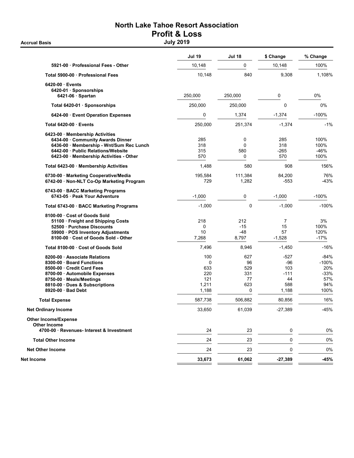# North Lake Tahoe Resort Association Profit & Loss<br>July 2019

**Accrual Basis** 

|                                                                                                                                                                                                             | <b>Jul 19</b>                                   | <b>Jul 18</b>                             | \$ Change                                        | % Change                                                 |
|-------------------------------------------------------------------------------------------------------------------------------------------------------------------------------------------------------------|-------------------------------------------------|-------------------------------------------|--------------------------------------------------|----------------------------------------------------------|
| 5921-00 Professional Fees - Other                                                                                                                                                                           | 10,148                                          | 0                                         | 10,148                                           | 100%                                                     |
| Total 5900-00 · Professional Fees                                                                                                                                                                           | 10,148                                          | 840                                       | 9,308                                            | 1,108%                                                   |
| 6420-00 Events<br>6420-01 · Sponsorships<br>$6421-06$ · Spartan                                                                                                                                             | 250,000                                         | 250,000                                   | 0                                                | 0%                                                       |
|                                                                                                                                                                                                             | 250,000                                         | 250,000                                   | $\mathbf 0$                                      | 0%                                                       |
| Total 6420-01 · Sponsorships                                                                                                                                                                                |                                                 |                                           |                                                  |                                                          |
| 6424-00 Event Operation Expenses                                                                                                                                                                            | 0                                               | 1,374                                     | $-1,374$                                         | $-100%$                                                  |
| Total 6420-00 Events                                                                                                                                                                                        | 250,000                                         | 251,374                                   | $-1,374$                                         | $-1%$                                                    |
| 6423-00 Membership Activities<br>6434-00 Community Awards Dinner<br>6436-00 Membership - Wnt/Sum Rec Lunch<br>6442-00 Public Relations/Website<br>6423-00 Membership Activities - Other                     | 285<br>318<br>315<br>570                        | 0<br>0<br>580<br>0                        | 285<br>318<br>$-265$<br>570                      | 100%<br>100%<br>$-46%$<br>100%                           |
| Total 6423-00 · Membership Activities                                                                                                                                                                       | 1,488                                           | 580                                       | 908                                              | 156%                                                     |
| 6730-00 · Marketing Cooperative/Media<br>6742-00 · Non-NLT Co-Op Marketing Program                                                                                                                          | 195,584<br>729                                  | 111,384<br>1,282                          | 84,200<br>$-553$                                 | 76%<br>-43%                                              |
| 6743-00 · BACC Marketing Programs<br>6743-05 · Peak Your Adventure                                                                                                                                          | $-1,000$                                        | 0                                         | $-1,000$                                         | -100%                                                    |
| Total 6743-00 · BACC Marketing Programs                                                                                                                                                                     | $-1,000$                                        | $\mathbf 0$                               | $-1,000$                                         | $-100%$                                                  |
| 8100-00 Cost of Goods Sold<br>51100 Freight and Shipping Costs<br>52500 · Purchase Discounts<br>59900 · POS Inventory Adjustments<br>8100-00 · Cost of Goods Sold - Other                                   | 218<br>0<br>10<br>7,268                         | 212<br>$-15$<br>-48<br>8,797              | 7<br>15<br>57<br>$-1,528$                        | 3%<br>100%<br>120%<br>$-17%$                             |
| Total 8100-00 Cost of Goods Sold                                                                                                                                                                            | 7,496                                           | 8,946                                     | $-1,450$                                         | $-16%$                                                   |
| 8200-00 Associate Relations<br>8300-00 Board Functions<br>8500-00 Credit Card Fees<br>8700-00 · Automobile Expenses<br>8750-00 Meals/Meetings<br>8810-00 Dues & Subscriptions<br>$8920-00$ $\cdot$ Bad Debt | 100<br>0<br>633<br>220<br>121<br>1,211<br>1,188 | 627<br>96<br>529<br>331<br>77<br>623<br>0 | -527<br>-96<br>103<br>-111<br>44<br>588<br>1,188 | $-84%$<br>$-100%$<br>20%<br>$-33%$<br>57%<br>94%<br>100% |
| <b>Total Expense</b>                                                                                                                                                                                        | 587,738                                         | 506,882                                   | 80,856                                           | 16%                                                      |
| <b>Net Ordinary Income</b>                                                                                                                                                                                  | 33,650                                          | 61,039                                    | -27,389                                          | $-45%$                                                   |
| <b>Other Income/Expense</b><br><b>Other Income</b>                                                                                                                                                          |                                                 |                                           |                                                  |                                                          |
| 4700-00 · Revenues- Interest & Investment                                                                                                                                                                   | 24                                              | 23                                        | 0                                                | 0%                                                       |
| <b>Total Other Income</b>                                                                                                                                                                                   | 24                                              | 23                                        | 0                                                | 0%                                                       |
| <b>Net Other Income</b>                                                                                                                                                                                     | 24                                              | 23                                        | 0                                                | 0%                                                       |
| Net Income                                                                                                                                                                                                  | 33,673                                          | 61,062                                    | $-27,389$                                        | $-45%$                                                   |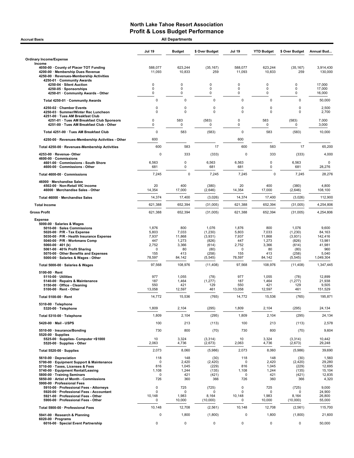| <b>All Departments</b><br><b>Accrual Basis</b>                                                                                                                                                                                                                                                                   |                                                                         |                                                                 |                                                                             |                                                               |                                                                 |                                                                             |                                                                             |
|------------------------------------------------------------------------------------------------------------------------------------------------------------------------------------------------------------------------------------------------------------------------------------------------------------------|-------------------------------------------------------------------------|-----------------------------------------------------------------|-----------------------------------------------------------------------------|---------------------------------------------------------------|-----------------------------------------------------------------|-----------------------------------------------------------------------------|-----------------------------------------------------------------------------|
|                                                                                                                                                                                                                                                                                                                  | <b>Jul 19</b>                                                           | <b>Budget</b>                                                   | \$ Over Budget                                                              | Jul 19                                                        | <b>YTD Budget</b>                                               | \$ Over Budget                                                              | Annual Bud                                                                  |
| <b>Ordinary Income/Expense</b>                                                                                                                                                                                                                                                                                   |                                                                         |                                                                 |                                                                             |                                                               |                                                                 |                                                                             |                                                                             |
| Income<br>4050-00 County of Placer TOT Funding<br>4200-00 · Membership Dues Revenue<br>4250-00 · Revenues-Membership Activities                                                                                                                                                                                  | 588,077<br>11,093                                                       | 623,244<br>10,833                                               | (35, 167)<br>259                                                            | 588,077<br>11,093                                             | 623,244<br>10,833                                               | (35, 167)<br>259                                                            | 3,914,430<br>130,000                                                        |
| 4250-01 · Community Awards<br>4250-04 · Silent Auction                                                                                                                                                                                                                                                           | 0                                                                       | 0                                                               | $\mathbf 0$                                                                 | 0                                                             | 0                                                               | 0                                                                           | 17,000                                                                      |
| 4250-05 · Sponsorships<br>4250-01 Community Awards - Other                                                                                                                                                                                                                                                       | 0<br>0                                                                  | $\Omega$<br>0                                                   | $\mathbf 0$<br>0                                                            | 0<br>0                                                        | 0<br>0                                                          | 0<br>0                                                                      | 17,000<br>16,000                                                            |
| Total 4250-01 · Community Awards                                                                                                                                                                                                                                                                                 | 0                                                                       | $\mathbf 0$                                                     | $\mathbf 0$                                                                 | $\mathbf 0$                                                   | 0                                                               | 0                                                                           | 50,000                                                                      |
| 4250-02 · Chamber Events                                                                                                                                                                                                                                                                                         | 0                                                                       | $\mathbf 0$                                                     | 0                                                                           | 0                                                             | 0                                                               | 0                                                                           | 2,500                                                                       |
| 4250-03 · Summer/Winter Rec Luncheon<br>4251-00 · Tues AM Breakfast Club                                                                                                                                                                                                                                         | 0<br>0                                                                  | $\mathbf 0$<br>583                                              | 0<br>(583)                                                                  | 0<br>0                                                        | $\Omega$<br>583                                                 | $\mathbf 0$<br>(583)                                                        | 2,700<br>7,000                                                              |
| 4251-01 · Tues AM Breakfast Club Sponsors<br>4251-00 · Tues AM Breakfast Club - Other                                                                                                                                                                                                                            | 0                                                                       | 0                                                               | 0                                                                           | 0                                                             | 0                                                               | 0                                                                           | 3,000                                                                       |
| Total 4251-00 · Tues AM Breakfast Club                                                                                                                                                                                                                                                                           | $\mathbf 0$                                                             | 583                                                             | (583)                                                                       | $\mathbf 0$                                                   | 583                                                             | (583)                                                                       | 10,000                                                                      |
| 4250-00 · Revenues-Membership Activities - Other                                                                                                                                                                                                                                                                 | 600                                                                     |                                                                 |                                                                             | 600                                                           |                                                                 |                                                                             |                                                                             |
| Total 4250-00 · Revenues-Membership Activities                                                                                                                                                                                                                                                                   | 600                                                                     | 583                                                             | 17                                                                          | 600                                                           | 583                                                             | 17                                                                          | 65,200                                                                      |
| 4253-00 · Revenue-Other                                                                                                                                                                                                                                                                                          | 0                                                                       | 333                                                             | (333)                                                                       | 0                                                             | 333                                                             | (333)                                                                       | 4,000                                                                       |
| 4600-00 Commissions<br>4601-00 Commissions - South Shore<br>4600-00 · Commissions - Other                                                                                                                                                                                                                        | 6,563<br>681                                                            | $\mathbf 0$<br>$\mathbf 0$                                      | 6,563<br>681                                                                | 6,563<br>681                                                  | 0<br>0                                                          | 6,563<br>681                                                                | 28,276                                                                      |
| Total 4600-00 · Commissions                                                                                                                                                                                                                                                                                      | 7,245                                                                   | $\pmb{0}$                                                       | 7,245                                                                       | 7,245                                                         | $\mathbf 0$                                                     | 7,245                                                                       | 28,276                                                                      |
| 46000 · Merchandise Sales<br>4502-00 · Non-Retail VIC income                                                                                                                                                                                                                                                     | 20                                                                      | 400                                                             | (380)                                                                       | 20                                                            | 400                                                             | (380)                                                                       | 4,800<br>108,100                                                            |
| 46000 · Merchandise Sales - Other                                                                                                                                                                                                                                                                                | 14,354                                                                  | 17,000                                                          | (2,646)                                                                     | 14,354                                                        | 17,000                                                          | (2,646)                                                                     |                                                                             |
| Total 46000 · Merchandise Sales                                                                                                                                                                                                                                                                                  | 14,374                                                                  | 17,400                                                          | (3,026)                                                                     | 14,374                                                        | 17,400                                                          | (3,026)                                                                     | 112,900                                                                     |
| <b>Total Income</b>                                                                                                                                                                                                                                                                                              | 621,388                                                                 | 652,394                                                         | (31,005)                                                                    | 621,388                                                       | 652,394                                                         | (31,005)                                                                    | 4,254,806                                                                   |
| <b>Gross Profit</b>                                                                                                                                                                                                                                                                                              | 621,388                                                                 | 652,394                                                         | (31,005)                                                                    | 621,388                                                       | 652,394                                                         | (31,005)                                                                    | 4,254,806                                                                   |
| 5000-00 · Salaries & Wages<br>5010-00 · Sales Commissions<br>5020-00 · P/R - Tax Expense<br>5030-00 · P/R - Health Insurance Expense<br>5040-00 · P/R - Workmans Comp<br>5060-00 $\cdot$ 401 (k)<br>5061-00 · 401k Profit Sharing<br>5070-00 · Other Benefits and Expenses<br>5000-00 · Salaries & Wages - Other | 1,876<br>5,803<br>7,937<br>447<br>2,752<br>$\mathbf 0$<br>155<br>78,597 | 800<br>7,033<br>11,868<br>1,273<br>3,366<br>80<br>413<br>84,142 | 1,076<br>(1, 230)<br>(3,931)<br>(826)<br>(614)<br>(80)<br>(258)<br>(5, 545) | 1,876<br>5,803<br>7,937<br>447<br>2,752<br>0<br>155<br>78,597 | 800<br>7,033<br>11,868<br>1,273<br>3,366<br>80<br>413<br>84,142 | 1,076<br>(1, 230)<br>(3,931)<br>(826)<br>(614)<br>(80)<br>(258)<br>(5, 545) | 9,600<br>84,163<br>142,416<br>13,981<br>41,981<br>960<br>5,040<br>1,049,304 |
| Total 5000-00 · Salaries & Wages                                                                                                                                                                                                                                                                                 | 97,568                                                                  | 108,976                                                         | (11, 408)                                                                   | 97,568                                                        | 108,976                                                         | (11, 408)                                                                   | 1,347,445                                                                   |
| $5100-00 \cdot$ Rent<br>$5110-00 \cdot$ Utilities<br>5140-00 · Repairs & Maintenance<br>5150-00 Office - Cleaning<br>5100-00 · Rent - Other                                                                                                                                                                      | 977<br>187<br>550<br>13,058                                             | 1,055<br>1,464<br>421<br>12,597                                 | (78)<br>(1, 277)<br>129<br>461                                              | 977<br>187<br>550<br>13,058                                   | 1,055<br>1,464<br>421<br>12,597                                 | (78)<br>(1, 277)<br>129<br>461                                              | 12,899<br>21,938<br>9,505<br>151,529                                        |
| Total 5100-00 · Rent                                                                                                                                                                                                                                                                                             | 14,772                                                                  | 15,536                                                          | (765)                                                                       | 14,772                                                        | 15,536                                                          | (765)                                                                       | 195,871                                                                     |
| 5310-00 · Telephone<br>5320-00 · Telephone                                                                                                                                                                                                                                                                       | 1,809                                                                   | 2,104                                                           | (295)                                                                       | 1,809                                                         | 2,104                                                           | (295)                                                                       | 24,134                                                                      |
| Total 5310-00 · Telephone                                                                                                                                                                                                                                                                                        | 1,809                                                                   | 2,104                                                           | (295)                                                                       | 1,809                                                         | 2,104                                                           | (295)                                                                       | 24,134                                                                      |
| 5420-00 · Mail - USPS                                                                                                                                                                                                                                                                                            | 100                                                                     | 213                                                             | (113)                                                                       | 100                                                           | 213                                                             | (113)                                                                       | 2,578                                                                       |
| 5510-00 · Insurance/Bonding<br>$5520-00 \cdot$ Supplies<br>5525-00 · Supplies- Computer <\$1000                                                                                                                                                                                                                  | 730<br>10                                                               | 800<br>3,324                                                    | (70)<br>(3,314)                                                             | 730<br>10                                                     | 800<br>3,324                                                    | (70)<br>(3,314)                                                             | 9,604<br>10,442                                                             |
| 5520-00 · Supplies - Other                                                                                                                                                                                                                                                                                       | 2,063                                                                   | 4,736                                                           | (2,673)                                                                     | 2,063                                                         | 4,736                                                           | (2,673)                                                                     | 29,248                                                                      |
| Total 5520-00 · Supplies                                                                                                                                                                                                                                                                                         | 2,073                                                                   | 8,060                                                           | (5,986)                                                                     | 2,073                                                         | 8,060                                                           | (5,986)                                                                     | 39,690                                                                      |
| 5610-00 · Depreciation<br>5700-00 · Equipment Support & Maintenance<br>5710-00 · Taxes, Licenses & Fees<br>5740-00 · Equipment Rental/Leasing<br>5800-00 · Training Seminars<br>5850-00 · Artist of Month - Commissions<br>5900-00 · Professional Fees                                                           | 118<br>$\Omega$<br>816<br>1,108<br>$\mathbf 0$<br>726                   | 148<br>2,420<br>1,045<br>1,244<br>421<br>360                    | (30)<br>(2,420)<br>(229)<br>(135)<br>(421)<br>366                           | 118<br>0<br>816<br>1,108<br>0<br>726                          | 148<br>2,420<br>1,045<br>1,244<br>421<br>360                    | (30)<br>(2, 420)<br>(229)<br>(135)<br>(421)<br>366                          | 1,560<br>29,280<br>12,695<br>15,104<br>12,835<br>4,320                      |
| 5910-00 · Professional Fees - Attorneys<br>5920-00 · Professional Fees - Accountant<br>5921-00 · Professional Fees - Other<br>5900-00 · Professional Fees - Other                                                                                                                                                | 0<br>0<br>10,148<br>0                                                   | 725<br>0<br>1,983<br>10,000                                     | (725)<br>0<br>8,164<br>(10,000)                                             | 0<br>$\mathbf 0$<br>10,148<br>0                               | 725<br>0<br>1,983<br>10,000                                     | (725)<br>$\mathbf 0$<br>8,164<br>(10,000)                                   | 9,000<br>24,900<br>26,800<br>55,000                                         |
| Total 5900-00 · Professional Fees                                                                                                                                                                                                                                                                                | 10,148                                                                  | 12,708                                                          | (2, 561)                                                                    | 10,148                                                        | 12,708                                                          | (2, 561)                                                                    | 115,700                                                                     |
| 5941-00 · Research & Planning                                                                                                                                                                                                                                                                                    | $\mathbf 0$                                                             | 1,800                                                           | (1,800)                                                                     | 0                                                             | 1,800                                                           | (1,800)                                                                     | 21,600                                                                      |
| $6020-00 \cdot$ Programs<br>6016-00 · Special Event Partnership                                                                                                                                                                                                                                                  | 0                                                                       | 0                                                               | 0                                                                           | $\mathbf 0$                                                   | $\mathsf 0$                                                     | 0                                                                           | 50,000                                                                      |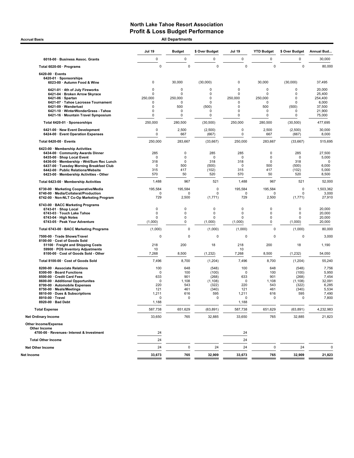Accrual Basis **Accrual Basis All Departments** 

|                                                                                          | Jul 19              | <b>Budget</b>              | \$ Over Budget      | Jul 19                     | <b>YTD Budget</b>          | \$ Over Budget   | Annual Bud       |
|------------------------------------------------------------------------------------------|---------------------|----------------------------|---------------------|----------------------------|----------------------------|------------------|------------------|
| 6018-00 · Business Assoc. Grants                                                         | $\mathsf 0$         | 0                          | 0                   | 0                          | $\pmb{0}$                  | 0                | 30,000           |
| Total 6020-00 · Programs                                                                 | $\mathbf 0$         | $\mathbf 0$                | $\mathbf 0$         | $\Omega$                   | $\mathbf 0$                | 0                | 80,000           |
| 6420-00 · Events<br>6420-01 · Sponsorships<br>6023-00 · Autumn Food & Wine               | 0                   | 30,000                     | (30,000)            | 0                          | 30,000                     | (30,000)         | 37,495           |
| 6421-01 · 4th of July Fireworks<br>6421-04 · Broken Arrow Skyrace                        | 0<br>$\Omega$       | $\mathbf 0$<br>$\mathbf 0$ | 0<br>0              | $\Omega$<br>$\Omega$       | 0<br>0                     | 0<br>0           | 20,000<br>25,400 |
| $6421-06 \cdot$ Spartan<br>6421-07 · Tahoe Lacrosse Tournament                           | 250,000<br>0        | 250,000<br>$\mathbf 0$     | $\mathbf 0$<br>0    | 250,000<br>0               | 250,000<br>0               | $\Omega$<br>0    | 254,400<br>6,000 |
| 6421-09 · Wanderlust                                                                     | 0                   | 500                        | (500)               | $\pmb{0}$                  | 500                        | (500)            | 37,500           |
| 6421-10 · WinterWonderGrass - Tahoe<br>6421-16 · Mountain Travel Symposium               | 0<br>0              | $\mathbf 0$<br>$\mathbf 0$ | 0<br>0              | $\mathbf 0$<br>$\mathbf 0$ | 0<br>0                     | 0<br>0           | 21,900<br>75,000 |
| Total 6420-01 · Sponsorships                                                             | 250,000             | 280,500                    | (30, 500)           | 250,000                    | 280.500                    | (30, 500)        | 477,695          |
| 6421-00 · New Event Development<br>6424-00 · Event Operation Expenses                    | $\mathbf 0$<br>0    | 2,500<br>667               | (2,500)<br>(667)    | 0<br>0                     | 2,500<br>667               | (2,500)<br>(667) | 30,000<br>8,000  |
| Total 6420-00 · Events                                                                   | 250,000             | 283,667                    | (33,667)            | 250,000                    | 283,667                    | (33,667)         | 515,695          |
| 6423-00 · Membership Activities                                                          |                     |                            |                     |                            |                            |                  |                  |
| 6434-00 Community Awards Dinner<br>6435-00 · Shop Local Event                            | 285<br>$\mathbf 0$  | 0<br>0                     | 285<br>$\mathbf 0$  | 285<br>$\mathbf 0$         | $\mathbf 0$<br>$\mathbf 0$ | 285<br>0         | 27,500<br>5,000  |
| 6436-00 · Membership - Wnt/Sum Rec Lunch                                                 | 318                 | 0                          | 318                 | 318                        | $\mathbf 0$                | 318              | $\mathbf 0$      |
| 6437-00 · Tuesday Morning Breakfast Club<br>6442-00 · Public Relations/Website           | 0<br>315            | 500<br>417                 | (500)<br>(102)      | $\mathbf 0$<br>315         | 500<br>417                 | (500)<br>(102)   | 6,000<br>5,000   |
| 6423-00 · Membership Activities - Other                                                  | 570                 | 50                         | 520                 | 570                        | 50                         | 520              | 8,500            |
| Total 6423-00 · Membership Activities                                                    | 1,488               | 967                        | 521                 | 1,488                      | 967                        | 521              | 52,000           |
| 6730-00 · Marketing Cooperative/Media                                                    | 195,584             | 195,584                    | 0                   | 195,584                    | 195,584                    | 0                | 1,503,362        |
| 6740-00 · Media/Collateral/Production<br>6742-00 · Non-NLT Co-Op Marketing Program       | 0<br>729            | $\Omega$<br>2,500          | 0<br>(1,771)        | $\Omega$<br>729            | $\Omega$<br>2,500          | 0<br>(1,771)     | 3,000<br>27,910  |
| 6743-00 · BACC Marketing Programs                                                        |                     |                            |                     |                            |                            |                  |                  |
| 6743-01 · Shop Local                                                                     | $\mathsf 0$         | 0                          | 0                   | 0                          | $\mathbf 0$                | $\pmb{0}$        | 20,000           |
| 6743-03 · Touch Lake Tahoe                                                               | 0                   | 0                          | 0                   | 0                          | 0                          | 0                | 20,000           |
| $6743-04 \cdot$ High Notes<br>6743-05 · Peak Your Adventure                              | $\Omega$<br>(1,000) | 0<br>0                     | $\Omega$<br>(1,000) | 0<br>(1,000)               | $\Omega$<br>0              | 0<br>(1,000)     | 20,000<br>20,000 |
| Total 6743-00 · BACC Marketing Programs                                                  | (1,000)             | $\mathbf 0$                | (1,000)             | (1,000)                    | $\mathbf 0$                | (1,000)          | 80,000           |
| 7500-00 · Trade Shows/Travel                                                             | 0                   | $\mathbf 0$                | 0                   | $\Omega$                   | $\mathbf 0$                | 0                | 3,000            |
| 8100-00 Cost of Goods Sold<br>51100 · Freight and Shipping Costs                         | 218                 | 200                        | 18                  | 218                        | 200                        | 18               | 1,190            |
| 59900 · POS Inventory Adjustments<br>8100-00 · Cost of Goods Sold - Other                | 10<br>7,268         | 8,500                      | (1, 232)            | 10<br>7,268                | 8,500                      | (1, 232)         | 54,050           |
| Total 8100-00 · Cost of Goods Sold                                                       | 7,496               | 8,700                      | (1, 204)            | 7,496                      | 8,700                      | (1, 204)         | 55,240           |
| 8200-00 Associate Relations                                                              | 100                 | 648                        | (548)               | 100                        | 648                        | (548)            | 7,756            |
| 8300-00 · Board Functions<br>8500-00 · Credit Card Fees                                  | 0<br>633            | 100<br>901                 | (100)               | 0<br>633                   | 100<br>901                 | (100)<br>(268)   | 5,950            |
| 8600-00 · Additional Opportunites                                                        | 0                   | 1,108                      | (268)<br>(1, 108)   | 0                          | 1,108                      | (1, 108)         | 7,454<br>32,091  |
| 8700-00 · Automobile Expenses                                                            | 220                 | 543                        | (322)               | 220                        | 543                        | (322)            | 6,285            |
| 8750-00 · Meals/Meetings                                                                 | 121                 | 461                        | (340)               | 121                        | 461                        | (340)            | 5,534            |
| 8810-00 · Dues & Subscriptions<br>8910-00 · Travel                                       | 1,211<br>0          | 616<br>0                   | 595<br>0            | 1,211<br>$\mathbf 0$       | 616<br>0                   | 595<br>0         | 7,490<br>7,800   |
| 8920-00 · Bad Debt                                                                       | 1,188               |                            |                     | 1,188                      |                            |                  |                  |
| <b>Total Expense</b>                                                                     | 587,738             | 651,629                    | (63, 891)           | 587,738                    | 651,629                    | (63, 891)        | 4,232,983        |
| <b>Net Ordinary Income</b>                                                               | 33,650              | 765                        | 32,885              | 33,650                     | 765                        | 32,885           | 21,823           |
| <b>Other Income/Expense</b><br>Other Income<br>4700-00 · Revenues- Interest & Investment | 24                  |                            |                     | 24                         |                            |                  |                  |
| <b>Total Other Income</b>                                                                | 24                  |                            |                     | 24                         |                            |                  |                  |
| <b>Net Other Income</b>                                                                  | 24                  | $\pmb{0}$                  | 24                  | 24                         | $\pmb{0}$                  | 24               | $\Omega$         |
| Net Income                                                                               | 33,673              | 765                        | 32,909              | 33,673                     | 765                        | 32,909           | 21,823           |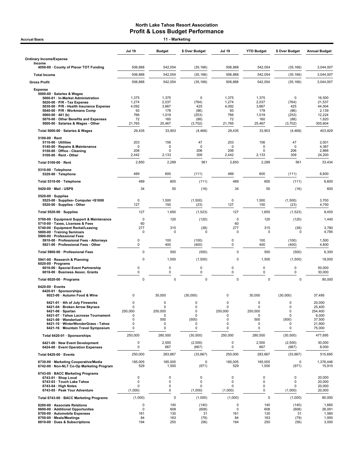| <b>Accrual Basis</b>                                                                                                                                                                                                                                                                             | 11 - Marketing                                       |                                                          |                                                                |                                                      |                                                                       |                                                       |                                                                    |  |
|--------------------------------------------------------------------------------------------------------------------------------------------------------------------------------------------------------------------------------------------------------------------------------------------------|------------------------------------------------------|----------------------------------------------------------|----------------------------------------------------------------|------------------------------------------------------|-----------------------------------------------------------------------|-------------------------------------------------------|--------------------------------------------------------------------|--|
|                                                                                                                                                                                                                                                                                                  | <b>Jul 19</b>                                        | <b>Budget</b>                                            | \$ Over Budget                                                 | <b>Jul 19</b>                                        | <b>YTD Budget</b>                                                     | \$ Over Budget                                        | <b>Annual Budget</b>                                               |  |
| <b>Ordinary Income/Expense</b>                                                                                                                                                                                                                                                                   |                                                      |                                                          |                                                                |                                                      |                                                                       |                                                       |                                                                    |  |
| Income<br>4050-00 County of Placer TOT Funding                                                                                                                                                                                                                                                   | 506,888                                              | 542,054                                                  | (35, 166)                                                      | 506,888                                              | 542,054                                                               | (35, 166)                                             | 3,044,007                                                          |  |
| <b>Total Income</b>                                                                                                                                                                                                                                                                              | 506,888                                              | 542,054                                                  | (35, 166)                                                      | 506,888                                              | 542,054                                                               | (35, 166)                                             | 3,044,007                                                          |  |
| <b>Gross Profit</b>                                                                                                                                                                                                                                                                              | 506,888                                              | 542,054                                                  | (35, 166)                                                      | 506,888                                              | 542,054                                                               | (35, 166)                                             | 3,044,007                                                          |  |
| <b>Expense</b><br>5000-00 · Salaries & Wages<br>5000-01 · In-Market Administration<br>5020-00 · P/R - Tax Expense<br>5030-00 · P/R - Health Insurance Expense<br>5040-00 · P/R - Workmans Comp<br>5060-00 · 401 (k)<br>5070-00 Other Benefits and Expenses<br>5000-00 · Salaries & Wages - Other | 1,375<br>1,274<br>4,092<br>93<br>766<br>72<br>21,765 | 1,375<br>2,037<br>3,667<br>178<br>1,019<br>160<br>25,467 | 0<br>(764)<br>425<br>(86)<br>(253)<br>(88)<br>(3,702)          | 1,375<br>1,274<br>4,092<br>93<br>766<br>72<br>21,765 | 1,375<br>2,037<br>3,667<br>178<br>1,019<br>160<br>25,467              | 0<br>(764)<br>425<br>(86)<br>(253)<br>(88)<br>(3,702) | 16,500<br>21,537<br>44,004<br>2,139<br>12,224<br>1,920<br>305,604  |  |
| Total 5000-00 · Salaries & Wages                                                                                                                                                                                                                                                                 | 29,435                                               | 33,903                                                   | (4, 468)                                                       | 29,435                                               | 33,903                                                                | (4, 468)                                              | 403,929                                                            |  |
| $5100-00 \cdot$ Rent<br>$5110-00 \cdot$ Utilities<br>5140-00 · Repairs & Maintenance<br>5150-00 · Office - Cleaning<br>$5100-00 \cdot$ Rent - Other                                                                                                                                              | 203<br>0<br>206<br>2,442                             | 156<br>0<br>0<br>2,133                                   | 47<br>0<br>206<br>309                                          | 203<br>0<br>206<br>2,442                             | 156<br>0<br>$\Omega$<br>2,133                                         | 47<br>0<br>206<br>309                                 | 2,001<br>4,367<br>2,866<br>24,200                                  |  |
| Total 5100-00 · Rent                                                                                                                                                                                                                                                                             | 2,850                                                | 2,289                                                    | 561                                                            | 2,850                                                | 2,289                                                                 | 561                                                   | 33,434                                                             |  |
| 5310-00 · Telephone<br>$5320-00 \cdot$ Telephone                                                                                                                                                                                                                                                 | 489                                                  | 600                                                      | (111)                                                          | 489                                                  | 600                                                                   | (111)                                                 | 6,600                                                              |  |
| Total 5310-00 · Telephone                                                                                                                                                                                                                                                                        | 489                                                  | 600                                                      | (111)                                                          | 489                                                  | 600                                                                   | (111)                                                 | 6,600                                                              |  |
| 5420-00 · Mail - USPS                                                                                                                                                                                                                                                                            | 34                                                   | 50                                                       | (16)                                                           | 34                                                   | 50                                                                    | (16)                                                  | 600                                                                |  |
| $5520-00 \cdot$ Supplies<br>5525-00 · Supplies- Computer <\$1000<br>5520-00 · Supplies - Other                                                                                                                                                                                                   | 0<br>127                                             | 1,500<br>150                                             | (1,500)<br>(23)                                                | 0<br>127                                             | 1,500<br>150                                                          | (1,500)<br>(23)                                       | 3,700<br>4,750                                                     |  |
| Total 5520-00 · Supplies                                                                                                                                                                                                                                                                         | 127                                                  | 1,650                                                    | (1,523)                                                        | 127                                                  | 1,650                                                                 | (1,523)                                               | 8,450                                                              |  |
| 5700-00 · Equipment Support & Maintenance<br>5710-00 · Taxes, Licenses & Fees<br>5740-00 · Equipment Rental/Leasing<br>5800-00 · Training Seminars<br>5900-00 · Professional Fees<br>5910-00 · Professional Fees - Attorneys                                                                     | $\mathbf 0$<br>60<br>277<br>$\pmb{0}$<br>0           | 120<br>315<br>0<br>100                                   | (120)<br>(38)<br>0<br>(100)                                    | $\mathbf 0$<br>60<br>277<br>0<br>0                   | 120<br>315<br>0<br>100                                                | (120)<br>(38)<br>0<br>(100)                           | 1,440<br>3,780<br>4,785<br>1,500                                   |  |
| 5921-00 · Professional Fees - Other<br>Total 5900-00 · Professional Fees                                                                                                                                                                                                                         | 0<br>$\mathbf 0$                                     | 400<br>500                                               | (400)<br>(500)                                                 | 0<br>$\Omega$                                        | 400<br>500                                                            | (400)                                                 | 4,800<br>6,300                                                     |  |
| 5941-00 · Research & Planning                                                                                                                                                                                                                                                                    | 0                                                    | 1,500                                                    | (1,500)                                                        | $\mathbf 0$                                          | 1,500                                                                 | (500)<br>(1,500)                                      | 18,000                                                             |  |
| $6020-00 \cdot$ Programs<br>6016-00 · Special Event Partnership<br>6018-00 · Business Assoc. Grants                                                                                                                                                                                              | 0<br>0                                               | 0<br>$\mathbf 0$                                         | 0<br>0                                                         | 0<br>0                                               | 0<br>0                                                                | 0<br>0                                                | 50,000<br>30,000                                                   |  |
| Total 6020-00 · Programs                                                                                                                                                                                                                                                                         | $\pmb{0}$                                            | $\mathbf 0$                                              | $\mathbf 0$                                                    | $\mathbf 0$                                          | $\mathbf 0$                                                           | $\pmb{0}$                                             | 80,000                                                             |  |
| 6420-00 · Events<br>6420-01 · Sponsorships<br>6023-00 · Autumn Food & Wine                                                                                                                                                                                                                       | 0                                                    | 30,000                                                   | (30,000)                                                       | 0                                                    | 30,000                                                                | (30,000)                                              | 37,495                                                             |  |
| 6421-01 · 4th of July Fireworks<br>6421-04 · Broken Arrow Skyrace<br>6421-06 · Spartan<br>6421-07 · Tahoe Lacrosse Tournament<br>6421-09 · Wanderlust<br>6421-10 · WinterWonderGrass - Tahoe<br>6421-16 · Mountain Travel Symposium                                                              | 0<br>$\Omega$<br>250,000<br>0<br>0<br>0<br>0         | 0<br>0<br>250,000<br>0<br>500<br>0<br>0                  | 0<br>$\Omega$<br>$\mathbf 0$<br>0<br>(500)<br>0<br>$\mathbf 0$ | 0<br>0<br>250,000<br>0<br>0<br>0<br>0                | $\mathbf 0$<br>$\mathbf 0$<br>250,000<br>$\mathbf 0$<br>500<br>0<br>0 | $\mathbf 0$<br>0<br>0<br>$\Omega$<br>(500)<br>0<br>0  | 20,000<br>25,400<br>254,400<br>6,000<br>37,500<br>21,900<br>75,000 |  |
| Total 6420-01 · Sponsorships                                                                                                                                                                                                                                                                     | 250,000                                              | 280,500                                                  | (30, 500)                                                      | 250,000                                              | 280,500                                                               | (30, 500)                                             | 477,695                                                            |  |
| 6421-00 · New Event Development<br>6424-00 · Event Operation Expenses                                                                                                                                                                                                                            | 0<br>0                                               | 2,500<br>667                                             | (2,500)<br>(667)                                               | 0<br>0                                               | 2,500<br>667                                                          | (2,500)<br>(667)                                      | 30,000<br>8,000                                                    |  |
| Total 6420-00 · Events                                                                                                                                                                                                                                                                           | 250,000                                              | 283,667                                                  | (33, 667)                                                      | 250,000                                              | 283,667                                                               | (33, 667)                                             | 515,695                                                            |  |
| 6730-00 · Marketing Cooperative/Media<br>6742-00 · Non-NLT Co-Op Marketing Program                                                                                                                                                                                                               | 185,005<br>529                                       | 185,005<br>1,500                                         | 0<br>(971)                                                     | 185,005<br>529                                       | 185,005<br>1,500                                                      | 0<br>(971)                                            | 1,376,446<br>15,910                                                |  |
| 6743-00 · BACC Marketing Programs<br>6743-01 · Shop Local<br>6743-03 · Touch Lake Tahoe<br>6743-04 · High Notes<br>6743-05 · Peak Your Adventure                                                                                                                                                 | $\mathbf 0$<br>0<br>0<br>(1,000)                     | $\mathbf 0$<br>$\mathbf 0$<br>$\pmb{0}$<br>$\mathbf 0$   | 0<br>0<br>0<br>(1,000)                                         | 0<br>0<br>0<br>(1,000)                               | 0<br>$\mathbf 0$<br>0<br>$\mathbf 0$                                  | 0<br>$\mathbf 0$<br>0<br>(1,000)                      | 20,000<br>20,000<br>20,000<br>20,000                               |  |
| Total 6743-00 · BACC Marketing Programs                                                                                                                                                                                                                                                          | (1,000)                                              | $\mathbf 0$                                              | (1,000)                                                        | (1,000)                                              | 0                                                                     | (1,000)                                               | 80,000                                                             |  |
| 8200-00 · Associate Relations<br>8600-00 · Additional Opportunites<br>8700-00 · Automobile Expenses<br>8750-00 · Meals/Meetings<br>8810-00 · Dues & Subscriptions                                                                                                                                | 0<br>0<br>161<br>84<br>194                           | 140<br>608<br>130<br>163<br>250                          | (140)<br>(608)<br>31<br>(79)<br>(56)                           | 0<br>0<br>161<br>84<br>194                           | 140<br>608<br>130<br>163<br>250                                       | (140)<br>(608)<br>31<br>(79)<br>(56)                  | 1,660<br>26,091<br>1,560<br>1,950<br>3,000                         |  |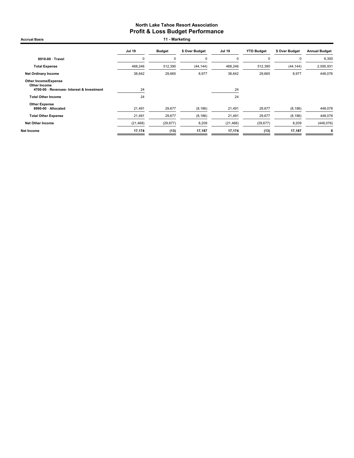Accrual Basis **11 - Marketing** 

|                                                                                          | <b>Jul 19</b> | <b>Budget</b> | \$ Over Budget | <b>Jul 19</b> | <b>YTD Budget</b> | \$ Over Budget | <b>Annual Budget</b> |
|------------------------------------------------------------------------------------------|---------------|---------------|----------------|---------------|-------------------|----------------|----------------------|
| 8910-00 · Travel                                                                         | C             | 0             | $\mathbf 0$    | 0             | 0                 | $\Omega$       | 6,300                |
| <b>Total Expense</b>                                                                     | 468,246       | 512,390       | (44, 144)      | 468,246       | 512,390           | (44, 144)      | 2,595,931            |
| <b>Net Ordinary Income</b>                                                               | 38,642        | 29,665        | 8,977          | 38,642        | 29,665            | 8,977          | 448,076              |
| <b>Other Income/Expense</b><br>Other Income<br>4700-00 · Revenues- Interest & Investment | 24            |               |                | 24            |                   |                |                      |
| <b>Total Other Income</b>                                                                | 24            |               |                | 24            |                   |                |                      |
| <b>Other Expense</b><br>8990-00 · Allocated                                              | 21,491        | 29,677        | (8, 186)       | 21,491        | 29,677            | (8, 186)       | 448,076              |
| <b>Total Other Expense</b>                                                               | 21,491        | 29,677        | (8, 186)       | 21,491        | 29,677            | (8, 186)       | 448,076              |
| <b>Net Other Income</b>                                                                  | (21, 468)     | (29, 677)     | 8,209          | (21, 468)     | (29, 677)         | 8,209          | (448, 076)           |
| Net Income                                                                               | 17,174        | (13)          | 17,187         | 17,174        | (13)              | 17,187         | $\mathbf 0$          |
|                                                                                          |               |               |                |               |                   |                |                      |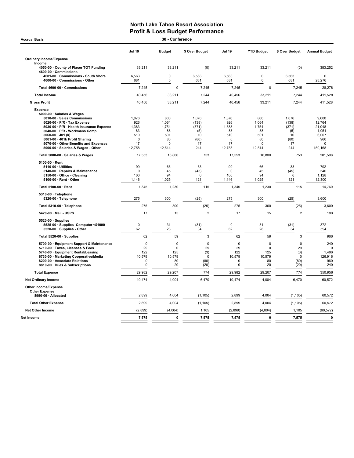| <b>Accrual Basis</b>                                                                                                                                                                                                                                                                                                                                                                                                                                                                                                                                                                                           | 30 - Conference                                                                                                                         |                                                                                                                            |                                                                                                                   |                                                                                                                                         |                                                                                                                            |                                                                                                                   |                                                                                                                                                   |  |  |
|----------------------------------------------------------------------------------------------------------------------------------------------------------------------------------------------------------------------------------------------------------------------------------------------------------------------------------------------------------------------------------------------------------------------------------------------------------------------------------------------------------------------------------------------------------------------------------------------------------------|-----------------------------------------------------------------------------------------------------------------------------------------|----------------------------------------------------------------------------------------------------------------------------|-------------------------------------------------------------------------------------------------------------------|-----------------------------------------------------------------------------------------------------------------------------------------|----------------------------------------------------------------------------------------------------------------------------|-------------------------------------------------------------------------------------------------------------------|---------------------------------------------------------------------------------------------------------------------------------------------------|--|--|
|                                                                                                                                                                                                                                                                                                                                                                                                                                                                                                                                                                                                                | <b>Jul 19</b>                                                                                                                           | <b>Budget</b>                                                                                                              | \$ Over Budget                                                                                                    | <b>Jul 19</b>                                                                                                                           | <b>YTD Budget</b>                                                                                                          | \$ Over Budget                                                                                                    | <b>Annual Budget</b>                                                                                                                              |  |  |
| <b>Ordinary Income/Expense</b>                                                                                                                                                                                                                                                                                                                                                                                                                                                                                                                                                                                 |                                                                                                                                         |                                                                                                                            |                                                                                                                   |                                                                                                                                         |                                                                                                                            |                                                                                                                   |                                                                                                                                                   |  |  |
| Income<br>4050-00 County of Placer TOT Funding<br>4600-00 · Commissions                                                                                                                                                                                                                                                                                                                                                                                                                                                                                                                                        | 33,211                                                                                                                                  | 33,211                                                                                                                     | (0)                                                                                                               | 33,211                                                                                                                                  | 33,211                                                                                                                     | (0)                                                                                                               | 383,252                                                                                                                                           |  |  |
| 4601-00 Commissions - South Shore<br>4600-00 · Commissions - Other                                                                                                                                                                                                                                                                                                                                                                                                                                                                                                                                             | 6,563<br>681                                                                                                                            | $\mathbf 0$<br>$\mathbf 0$                                                                                                 | 6,563<br>681                                                                                                      | 6,563<br>681                                                                                                                            | $\Omega$<br>$\pmb{0}$                                                                                                      | 6,563<br>681                                                                                                      | $\mathbf 0$<br>28,276                                                                                                                             |  |  |
| Total 4600-00 · Commissions                                                                                                                                                                                                                                                                                                                                                                                                                                                                                                                                                                                    | 7,245                                                                                                                                   | $\mathbf 0$                                                                                                                | 7,245                                                                                                             | 7,245                                                                                                                                   | $\mathbf 0$                                                                                                                | 7,245                                                                                                             | 28,276                                                                                                                                            |  |  |
| <b>Total Income</b>                                                                                                                                                                                                                                                                                                                                                                                                                                                                                                                                                                                            | 40,456                                                                                                                                  | 33,211                                                                                                                     | 7,244                                                                                                             | 40,456                                                                                                                                  | 33,211                                                                                                                     | 7,244                                                                                                             | 411,528                                                                                                                                           |  |  |
| <b>Gross Profit</b>                                                                                                                                                                                                                                                                                                                                                                                                                                                                                                                                                                                            | 40,456                                                                                                                                  | 33,211                                                                                                                     | 7,244                                                                                                             | 40,456                                                                                                                                  | 33,211                                                                                                                     | 7,244                                                                                                             | 411,528                                                                                                                                           |  |  |
| <b>Expense</b><br>5000-00 · Salaries & Wages<br>5010-00 · Sales Commissions<br>5020-00 · P/R - Tax Expense<br>5030-00 · P/R - Health Insurance Expense<br>5040-00 · P/R - Workmans Comp<br>5060-00 $\cdot$ 401 (k)<br>5061-00 · 401k Profit Sharing<br>5070-00 · Other Benefits and Expenses<br>5000-00 · Salaries & Wages - Other<br>Total 5000-00 · Salaries & Wages<br>5100-00 · Rent<br>5110-00 · Utilities<br>5140-00 · Repairs & Maintenance<br>5150-00 · Office - Cleaning<br>5100-00 · Rent - Other<br>Total 5100-00 · Rent<br>5310-00 · Telephone<br>5320-00 · Telephone<br>Total 5310-00 · Telephone | 1,876<br>926<br>1,383<br>83<br>510<br>$\mathbf 0$<br>17<br>12,758<br>17,553<br>99<br>$\mathbf 0$<br>100<br>1,146<br>1,345<br>275<br>275 | 800<br>1,064<br>1,754<br>88<br>501<br>80<br>$\Omega$<br>12,514<br>16,800<br>66<br>45<br>94<br>1,025<br>1,230<br>300<br>300 | 1,076<br>(138)<br>(371)<br>(5)<br>10<br>(80)<br>17<br>244<br>753<br>33<br>(45)<br>6<br>121<br>115<br>(25)<br>(25) | 1,876<br>926<br>1,383<br>83<br>510<br>$\mathbf 0$<br>17<br>12,758<br>17,553<br>99<br>$\mathbf 0$<br>100<br>1,146<br>1,345<br>275<br>275 | 800<br>1,064<br>1,754<br>88<br>501<br>80<br>$\Omega$<br>12,514<br>16,800<br>66<br>45<br>94<br>1,025<br>1,230<br>300<br>300 | 1,076<br>(138)<br>(371)<br>(5)<br>10<br>(80)<br>17<br>244<br>753<br>33<br>(45)<br>6<br>121<br>115<br>(25)<br>(25) | 9,600<br>12,764<br>21,048<br>1,051<br>6,007<br>960<br>$\Omega$<br>150,168<br>201,598<br>792<br>540<br>1,128<br>12,300<br>14,760<br>3,600<br>3,600 |  |  |
| 5420-00 - Mail - USPS                                                                                                                                                                                                                                                                                                                                                                                                                                                                                                                                                                                          | 17                                                                                                                                      | 15                                                                                                                         | $\overline{2}$                                                                                                    | 17                                                                                                                                      | 15                                                                                                                         | $\overline{2}$                                                                                                    | 180                                                                                                                                               |  |  |
| 5520-00 · Supplies<br>5525-00 · Supplies- Computer <\$1000<br>5520-00 · Supplies - Other                                                                                                                                                                                                                                                                                                                                                                                                                                                                                                                       | $\mathbf 0$<br>62                                                                                                                       | 31<br>28                                                                                                                   | (31)<br>34                                                                                                        | $\pmb{0}$<br>62                                                                                                                         | 31<br>28                                                                                                                   | (31)<br>34                                                                                                        | 372<br>594                                                                                                                                        |  |  |
| Total 5520-00 · Supplies                                                                                                                                                                                                                                                                                                                                                                                                                                                                                                                                                                                       | 62                                                                                                                                      | 59                                                                                                                         | 3                                                                                                                 | 62                                                                                                                                      | 59                                                                                                                         | 3                                                                                                                 | 966                                                                                                                                               |  |  |
| 5700-00 · Equipment Support & Maintenance<br>5710-00 · Taxes, Licenses & Fees<br>5740-00 · Equipment Rental/Leasing<br>6730-00 · Marketing Cooperative/Media<br>8200-00 · Associate Relations<br>8810-00 · Dues & Subscriptions                                                                                                                                                                                                                                                                                                                                                                                | $\mathbf 0$<br>29<br>122<br>10,579<br>0<br>0                                                                                            | $\mathbf 0$<br>$\mathbf 0$<br>125<br>10,579<br>80<br>20                                                                    | $\mathbf 0$<br>29<br>(3)<br>$\mathbf 0$<br>(80)<br>(20)                                                           | $\mathbf 0$<br>29<br>122<br>10,579<br>0<br>$\Omega$                                                                                     | $\mathbf 0$<br>$\mathbf 0$<br>125<br>10,579<br>80<br>20                                                                    | $\mathbf 0$<br>29<br>(3)<br>$\mathbf 0$<br>(80)<br>(20)                                                           | 240<br>1,496<br>126,916<br>960<br>240                                                                                                             |  |  |
| <b>Total Expense</b>                                                                                                                                                                                                                                                                                                                                                                                                                                                                                                                                                                                           | 29,982                                                                                                                                  | 29,207                                                                                                                     | 774                                                                                                               | 29,982                                                                                                                                  | 29,207                                                                                                                     | 774                                                                                                               | 350,956                                                                                                                                           |  |  |
| <b>Net Ordinary Income</b>                                                                                                                                                                                                                                                                                                                                                                                                                                                                                                                                                                                     | 10,474                                                                                                                                  | 4,004                                                                                                                      | 6,470                                                                                                             | 10,474                                                                                                                                  | 4,004                                                                                                                      | 6,470                                                                                                             | 60,572                                                                                                                                            |  |  |
| Other Income/Expense<br><b>Other Expense</b><br>8990-00 · Allocated                                                                                                                                                                                                                                                                                                                                                                                                                                                                                                                                            | 2,899                                                                                                                                   | 4,004                                                                                                                      | (1, 105)                                                                                                          | 2,899                                                                                                                                   | 4,004                                                                                                                      | (1, 105)                                                                                                          | 60,572                                                                                                                                            |  |  |
| <b>Total Other Expense</b>                                                                                                                                                                                                                                                                                                                                                                                                                                                                                                                                                                                     | 2,899                                                                                                                                   | 4,004                                                                                                                      | (1, 105)                                                                                                          | 2,899                                                                                                                                   | 4,004                                                                                                                      | (1, 105)                                                                                                          | 60,572                                                                                                                                            |  |  |
| <b>Net Other Income</b>                                                                                                                                                                                                                                                                                                                                                                                                                                                                                                                                                                                        | (2,899)                                                                                                                                 | (4,004)                                                                                                                    | 1,105                                                                                                             | (2,899)                                                                                                                                 | (4,004)                                                                                                                    | 1,105                                                                                                             | (60, 572)                                                                                                                                         |  |  |
|                                                                                                                                                                                                                                                                                                                                                                                                                                                                                                                                                                                                                |                                                                                                                                         | 0                                                                                                                          |                                                                                                                   |                                                                                                                                         | $\mathbf 0$                                                                                                                |                                                                                                                   | 0                                                                                                                                                 |  |  |
| Net Income                                                                                                                                                                                                                                                                                                                                                                                                                                                                                                                                                                                                     | 7,575                                                                                                                                   |                                                                                                                            | 7,575                                                                                                             | 7,575                                                                                                                                   |                                                                                                                            | 7,575                                                                                                             |                                                                                                                                                   |  |  |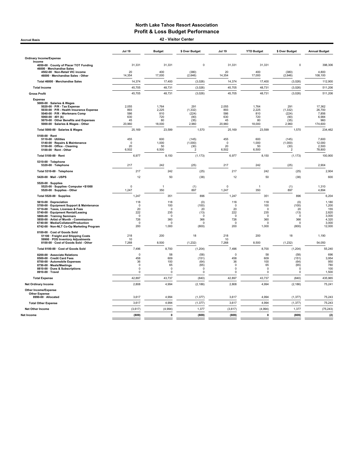Accrual Basis 42 - Visitor Center

|                                                                                                                                                                                                                                                                                                               | <b>Jul 19</b>                                                            | <b>Budget</b>                                                            | \$ Over Budget                                              | <b>Jul 19</b>                                                         | <b>YTD Budget</b>                                                        | \$ Over Budget                                                     | <b>Annual Budget</b>                                                |
|---------------------------------------------------------------------------------------------------------------------------------------------------------------------------------------------------------------------------------------------------------------------------------------------------------------|--------------------------------------------------------------------------|--------------------------------------------------------------------------|-------------------------------------------------------------|-----------------------------------------------------------------------|--------------------------------------------------------------------------|--------------------------------------------------------------------|---------------------------------------------------------------------|
| <b>Ordinary Income/Expense</b>                                                                                                                                                                                                                                                                                |                                                                          |                                                                          |                                                             |                                                                       |                                                                          |                                                                    |                                                                     |
| Income<br>4050-00 County of Placer TOT Funding                                                                                                                                                                                                                                                                | 31,331                                                                   | 31,331                                                                   | $\mathbf 0$                                                 | 31,331                                                                | 31,331                                                                   | $\mathbf 0$                                                        | 398,306                                                             |
| 46000 · Merchandise Sales<br>4502-00 · Non-Retail VIC income<br>46000 · Merchandise Sales - Other                                                                                                                                                                                                             | 20<br>14,354                                                             | 400<br>17,000                                                            | (380)<br>(2,646)                                            | 20<br>14,354                                                          | 400<br>17,000                                                            | (380)<br>(2,646)                                                   | 4.800<br>108,100                                                    |
| Total 46000 · Merchandise Sales                                                                                                                                                                                                                                                                               | 14,374                                                                   | 17,400                                                                   | (3,026)                                                     | 14,374                                                                | 17,400                                                                   | (3,026)                                                            | 112,900                                                             |
| <b>Total Income</b>                                                                                                                                                                                                                                                                                           | 45,705                                                                   | 48,731                                                                   | (3,026)                                                     | 45,705                                                                | 48,731                                                                   | (3,026)                                                            | 511,206                                                             |
| <b>Gross Profit</b>                                                                                                                                                                                                                                                                                           | 45,705                                                                   | 48,731                                                                   | (3,026)                                                     | 45,705                                                                | 48,731                                                                   | (3,026)                                                            | 511,206                                                             |
| <b>Expense</b><br>5000-00 · Salaries & Wages<br>5020-00 · P/R - Tax Expense<br>5030-00 · P/R - Health Insurance Expense<br>5040-00 · P/R - Workmans Comp<br>$5060 - 00 \cdot 401$ (k)<br>5070-00 Other Benefits and Expenses<br>5000-00 · Salaries & Wages - Other                                            | 2,055<br>893<br>586<br>630<br>45<br>20,960                               | 1,764<br>2,225<br>810<br>720<br>80<br>18,000                             | 291<br>(1, 332)<br>(224)<br>(90)<br>(35)<br>2,960           | 2,055<br>893<br>586<br>630<br>45<br>20,960                            | 1,764<br>2,225<br>810<br>720<br>80<br>18,000                             | 291<br>(1, 332)<br>(224)<br>(90)<br>(35)<br>2,960                  | 17,362<br>26,700<br>7,856<br>6,984<br>960<br>174,600                |
| Total 5000-00 · Salaries & Wages                                                                                                                                                                                                                                                                              | 25,169                                                                   | 23,599                                                                   | 1,570                                                       | 25,169                                                                | 23,599                                                                   | 1,570                                                              | 234,462                                                             |
| 5100-00 · Rent<br>5110-00 · Utilities<br>5140-00 · Repairs & Maintenance<br>5150-00 · Office - Cleaning<br>5100-00 · Rent - Other                                                                                                                                                                             | 455<br>$\Omega$<br>20<br>6,502                                           | 600<br>1,000<br>50<br>6,500                                              | (145)<br>(1,000)<br>(30)<br>$\overline{2}$                  | 455<br>$^{\circ}$<br>20<br>6,502                                      | 600<br>1,000<br>50<br>6,500                                              | (145)<br>(1,000)<br>(30)<br>$\overline{2}$                         | 7,600<br>12,000<br>2.500<br>78,800                                  |
| Total 5100-00 · Rent                                                                                                                                                                                                                                                                                          | 6,977                                                                    | 8,150                                                                    | (1, 173)                                                    | 6,977                                                                 | 8,150                                                                    | (1, 173)                                                           | 100,900                                                             |
| 5310-00 · Telephone<br>5320-00 · Telephone                                                                                                                                                                                                                                                                    | 217                                                                      | 242                                                                      | (25)                                                        | 217                                                                   | 242                                                                      | (25)                                                               | 2,904                                                               |
| Total 5310-00 · Telephone                                                                                                                                                                                                                                                                                     | 217                                                                      | 242                                                                      | (25)                                                        | 217                                                                   | 242                                                                      | (25)                                                               | 2,904                                                               |
| 5420-00 · Mail - USPS                                                                                                                                                                                                                                                                                         | 12                                                                       | 50                                                                       | (38)                                                        | 12                                                                    | 50                                                                       | (38)                                                               | 600                                                                 |
| $5520-00 \cdot$ Supplies<br>5525-00 · Supplies- Computer <\$1000<br>5520-00 · Supplies - Other                                                                                                                                                                                                                | $\mathbf 0$<br>1,247                                                     | $\overline{1}$<br>350                                                    | (1)<br>897                                                  | $\mathbf 0$<br>1,247                                                  | -1<br>350                                                                | (1)<br>897                                                         | 1,310<br>4,894                                                      |
| Total 5520-00 · Supplies                                                                                                                                                                                                                                                                                      | 1,247                                                                    | 351                                                                      | 896                                                         | 1,247                                                                 | 351                                                                      | 896                                                                | 6,204                                                               |
| 5610-00 · Depreciation<br>5700-00 · Equipment Support & Maintenance<br>5710-00 · Taxes, Licenses & Fees<br>5740-00 · Equipment Rental/Leasing<br>5800-00 · Training Seminars<br>5850-00 · Artist of Month - Commissions<br>6740-00 · Media/Collateral/Production<br>6742-00 · Non-NLT Co-Op Marketing Program | 118<br>$\mathbf 0$<br>20<br>222<br>$\Omega$<br>726<br>$\mathbf 0$<br>200 | 118<br>100<br>$\mathbf 0$<br>235<br>$\Omega$<br>360<br>$\Omega$<br>1,000 | (0)<br>(100)<br>20<br>(13)<br>$\Omega$<br>366<br>0<br>(800) | 118<br>$\mathbf 0$<br>20<br>222<br>$\Omega$<br>726<br>$\Omega$<br>200 | 118<br>100<br>$\mathbf 0$<br>235<br>$\Omega$<br>360<br>$\Omega$<br>1,000 | (0)<br>(100)<br>20<br>(13)<br>$\Omega$<br>366<br>$\Omega$<br>(800) | 1,180<br>1,200<br>155<br>2,820<br>3,000<br>4,320<br>3,000<br>12,000 |
| 8100-00 · Cost of Goods Sold<br>51100 · Freight and Shipping Costs                                                                                                                                                                                                                                            | 218                                                                      | 200                                                                      | 18                                                          | 218                                                                   | 200                                                                      | 18                                                                 | 1,190                                                               |
| 59900 · POS Inventory Adjustments<br>8100-00 · Cost of Goods Sold - Other                                                                                                                                                                                                                                     | 10<br>7,268                                                              | 8,500                                                                    | (1, 232)                                                    | 10<br>7,268                                                           | 8,500                                                                    | (1, 232)                                                           | 54,050                                                              |
| Total 8100-00 · Cost of Goods Sold                                                                                                                                                                                                                                                                            | 7,496                                                                    | 8,700                                                                    | (1, 204)                                                    | 7,496                                                                 | 8,700                                                                    | (1, 204)                                                           | 55,240                                                              |
| 8200-00 · Associate Relations<br>8500-00 · Credit Card Fees<br>8700-00 · Automobile Expenses<br>8750-00 · Meals/Meetings<br>8810-00 · Dues & Subscriptions<br>8910-00 · Travel                                                                                                                                | $\Omega$<br>458<br>36<br>$\mathsf 0$<br>0<br>$\Omega$                    | 58<br>609<br>100<br>65<br>$\mathbf 0$<br>$\Omega$                        | (58)<br>(151)<br>(64)<br>(65)<br>0<br>0                     | 0<br>458<br>36<br>$\mathsf 0$<br>0<br>$\Omega$                        | 58<br>609<br>100<br>65<br>$\mathbf 0$<br>$\Omega$                        | (58)<br>(151)<br>(64)<br>(65)<br>$\mathbf 0$<br>$\Omega$           | 696<br>3,954<br>950<br>780<br>100<br>1,500                          |
| <b>Total Expense</b>                                                                                                                                                                                                                                                                                          | 42,897                                                                   | 43,737                                                                   | (840)                                                       | 42,897                                                                | 43,737                                                                   | (840)                                                              | 435,965                                                             |
| <b>Net Ordinary Income</b>                                                                                                                                                                                                                                                                                    | 2,808                                                                    | 4,994                                                                    | (2, 186)                                                    | 2,808                                                                 | 4,994                                                                    | (2, 186)                                                           | 75,241                                                              |
| <b>Other Income/Expense</b><br><b>Other Expense</b><br>8990-00 · Allocated                                                                                                                                                                                                                                    | 3,617                                                                    | 4,994                                                                    | (1, 377)                                                    | 3,617                                                                 | 4,994                                                                    | (1, 377)                                                           | 75,243                                                              |
| <b>Total Other Expense</b>                                                                                                                                                                                                                                                                                    | 3,617                                                                    | 4,994                                                                    | (1, 377)                                                    | 3,617                                                                 | 4,994                                                                    | (1, 377)                                                           | 75,243                                                              |
| Net Other Income                                                                                                                                                                                                                                                                                              | (3,617)                                                                  | (4,994)                                                                  | 1,377                                                       | (3,617)                                                               | (4,994)                                                                  | 1,377                                                              | (75, 243)                                                           |
| Net Income                                                                                                                                                                                                                                                                                                    | (809)                                                                    | $\mathbf{0}$                                                             | (809)                                                       | (809)                                                                 | $\mathbf{0}$                                                             | (809)                                                              | (2)                                                                 |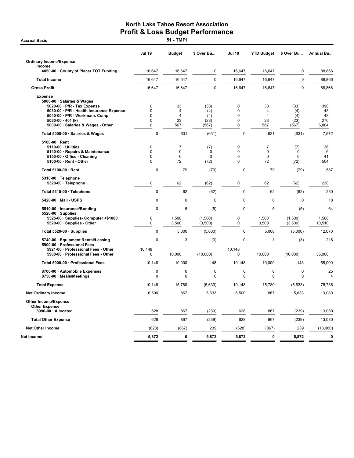|                                                                                                                                                                                                                           | <b>Jul 19</b>                                     | <b>Budget</b>                                   | \$ Over Bu                                | <b>Jul 19</b>                          | <b>YTD Budget</b>                        | \$ Over Bu                          | <b>Annual Bu</b>                |
|---------------------------------------------------------------------------------------------------------------------------------------------------------------------------------------------------------------------------|---------------------------------------------------|-------------------------------------------------|-------------------------------------------|----------------------------------------|------------------------------------------|-------------------------------------|---------------------------------|
| <b>Ordinary Income/Expense</b>                                                                                                                                                                                            |                                                   |                                                 |                                           |                                        |                                          |                                     |                                 |
| Income<br>4050-00 · County of Placer TOT Funding                                                                                                                                                                          | 16,647                                            | 16.647                                          | $\mathbf 0$                               | 16,647                                 | 16.647                                   | 0                                   | 88,866                          |
| <b>Total Income</b>                                                                                                                                                                                                       | 16,647                                            | 16.647                                          | $\mathbf 0$                               | 16.647                                 | 16.647                                   | $\mathbf 0$                         | 88,866                          |
| <b>Gross Profit</b>                                                                                                                                                                                                       | 16,647                                            | 16,647                                          | $\mathbf 0$                               | 16,647                                 | 16,647                                   | $\mathbf 0$                         | 88,866                          |
|                                                                                                                                                                                                                           |                                                   |                                                 |                                           |                                        |                                          |                                     |                                 |
| <b>Expense</b><br>5000-00 · Salaries & Wages<br>5020-00 · P/R - Tax Expense<br>5030-00 · P/R - Health Insurance Expense<br>5040-00 · P/R - Workmans Comp<br>5060-00 $\cdot$ 401 (k)<br>5000-00 · Salaries & Wages - Other | $\mathbf 0$<br>0<br>0<br>$\mathbf 0$<br>$\pmb{0}$ | 33<br>4<br>$\overline{\mathbf{4}}$<br>23<br>567 | (33)<br>(4)<br>(4)<br>(23)<br>(567)       | 0<br>0<br>$\Omega$<br>$\mathbf 0$<br>0 | 33<br>4<br>$\overline{4}$<br>23<br>567   | (33)<br>(4)<br>(4)<br>(23)<br>(567) | 396<br>48<br>48<br>276<br>6,804 |
| Total 5000-00 · Salaries & Wages                                                                                                                                                                                          | $\mathbf 0$                                       | 631                                             | (631)                                     | $\pmb{0}$                              | 631                                      | (631)                               | 7,572                           |
| 5100-00 · Rent                                                                                                                                                                                                            |                                                   |                                                 |                                           |                                        |                                          |                                     |                                 |
| 5110-00 · Utilities<br>5140-00 · Repairs & Maintenance<br>5150-00 · Office - Cleaning<br>5100-00 · Rent - Other                                                                                                           | $\mathbf 0$<br>0<br>0<br>0                        | $\overline{7}$<br>0<br>0<br>72                  | (7)<br>$\mathbf 0$<br>$\mathbf 0$<br>(72) | $\mathbf 0$<br>0<br>$\Omega$<br>0      | $\overline{7}$<br>0<br>$\mathbf 0$<br>72 | (7)<br>0<br>$\Omega$<br>(72)        | 36<br>6<br>41<br>504            |
| Total 5100-00 · Rent                                                                                                                                                                                                      | $\mathbf 0$                                       | 79                                              | (79)                                      | $\pmb{0}$                              | 79                                       | (79)                                | 587                             |
| $5310-00 \cdot$ Telephone<br>5320-00 · Telephone                                                                                                                                                                          | $\mathbf 0$                                       | 62                                              | (62)                                      | 0                                      | 62                                       | (62)                                | 230                             |
| Total 5310-00 · Telephone                                                                                                                                                                                                 | $\mathbf 0$                                       | 62                                              | (62)                                      | $\mathbf 0$                            | 62                                       | (62)                                | 230                             |
| 5420-00 · Mail - USPS                                                                                                                                                                                                     | 0                                                 | 0                                               | $\Omega$                                  | $\mathbf 0$                            | $\mathbf 0$                              | 0                                   | 18                              |
| 5510-00 · Insurance/Bonding                                                                                                                                                                                               | $\Omega$                                          | 5                                               | (5)                                       | $\Omega$                               | 5                                        | (5)                                 | 64                              |
| $5520-00 \cdot$ Supplies<br>5525-00 · Supplies- Computer <\$1000<br>5520-00 · Supplies - Other                                                                                                                            | $\mathbf 0$<br>$\pmb{0}$                          | 1,500<br>3,500                                  | (1,500)<br>(3,500)                        | 0<br>0                                 | 1,500<br>3,500                           | (1,500)<br>(3,500)                  | 1,560<br>10,510                 |
| Total 5520-00 · Supplies                                                                                                                                                                                                  | $\mathbf 0$                                       | 5,000                                           | (5,000)                                   | $\mathbf 0$                            | 5,000                                    | (5,000)                             | 12,070                          |
| 5740-00 · Equipment Rental/Leasing                                                                                                                                                                                        | 0                                                 | 3                                               | (3)                                       | $\pmb{0}$                              | 3                                        | (3)                                 | 216                             |
| 5900-00 · Professional Fees<br>5921-00 · Professional Fees - Other<br>5900-00 · Professional Fees - Other                                                                                                                 | 10,148<br>0                                       | 10,000                                          | (10,000)                                  | 10,148<br>0                            | 10,000                                   | (10,000)                            | 55,000                          |
| Total 5900-00 · Professional Fees                                                                                                                                                                                         | 10,148                                            | 10.000                                          | 148                                       | 10.148                                 | 10,000                                   | 148                                 | 55,000                          |
| 8700-00 · Automobile Expenses<br>8750-00 · Meals/Meetings                                                                                                                                                                 | $\mathbf 0$<br>0                                  | $\mathbf 0$<br>0                                | $\mathbf 0$<br>$\mathbf 0$                | $\mathbf 0$<br>$\mathbf 0$             | $\mathbf 0$<br>$\pmb{0}$                 | $\mathbf 0$<br>0                    | 25<br>4                         |
| <b>Total Expense</b>                                                                                                                                                                                                      | 10,148                                            | 15,780                                          | (5,633)                                   | 10,148                                 | 15,780                                   | (5,633)                             | 75,786                          |
| <b>Net Ordinary Income</b>                                                                                                                                                                                                | 6,500                                             | 867                                             | 5,633                                     | 6,500                                  | 867                                      | 5,633                               | 13,080                          |
| <b>Other Income/Expense</b><br><b>Other Expense</b>                                                                                                                                                                       |                                                   |                                                 |                                           |                                        |                                          |                                     |                                 |
| 8990-00 · Allocated                                                                                                                                                                                                       | 628                                               | 867                                             | (239)                                     | 628                                    | 867                                      | (239)                               | 13,080                          |
| <b>Total Other Expense</b>                                                                                                                                                                                                | 628                                               | 867                                             | (239)                                     | 628                                    | 867                                      | (239)                               | 13,080                          |
| <b>Net Other Income</b>                                                                                                                                                                                                   | (628)                                             | (867)                                           | 239                                       | (628)                                  | (867)                                    | 239                                 | (13,080)                        |
| Net Income                                                                                                                                                                                                                | 5,872                                             | 0                                               | 5,872                                     | 5,872                                  | $\mathbf{0}$                             | 5,872                               | 0                               |

**Accrual Basis**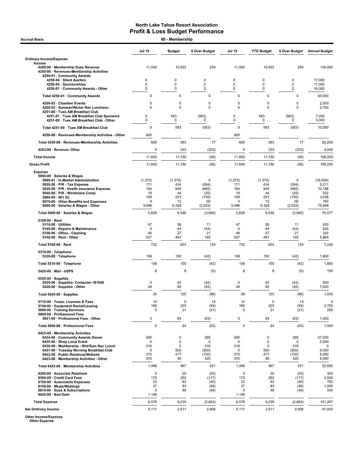| <b>Accrual Basis</b>                                                                                                  | 60 - Membership         |               |                  |                  |                   |                 |                      |
|-----------------------------------------------------------------------------------------------------------------------|-------------------------|---------------|------------------|------------------|-------------------|-----------------|----------------------|
|                                                                                                                       | <b>Jul 19</b>           | <b>Budget</b> | \$ Over Budget   | Jul 19           | <b>YTD Budget</b> | \$ Over Budget  | <b>Annual Budget</b> |
| <b>Ordinary Income/Expense</b>                                                                                        |                         |               |                  |                  |                   |                 |                      |
| Income<br>4200-00 · Membership Dues Revenue<br>4250-00 · Revenues-Membership Activities<br>4250-01 · Community Awards | 11,093                  | 10,833        | 259              | 11,093           | 10,833            | 259             | 130.000              |
| 4250-04 · Silent Auction                                                                                              | 0                       | 0             | 0                | 0                | 0                 | 0               | 17,000               |
| 4250-05 · Sponsorships<br>4250-01 Community Awards - Other                                                            | $\Omega$<br>$\Omega$    | 0<br>0        | $\mathbf 0$<br>0 | $\mathbf 0$<br>0 | $\mathbf 0$<br>0  | 0<br>0          | 17,000<br>16,000     |
| Total 4250-01 · Community Awards                                                                                      | 0                       | 0             | 0                | 0                | 0                 | $\mathbf 0$     | 50,000               |
| 4250-02 · Chamber Events                                                                                              | 0                       | $\mathbf 0$   | 0                | 0                | 0                 | $\mathbf 0$     | 2,500                |
| 4250-03 · Summer/Winter Rec Luncheon<br>4251-00 · Tues AM Breakfast Club                                              | $\mathbf 0$             | $\mathbf 0$   | $\mathbf 0$      | 0                | $\mathbf 0$       | $\mathbf 0$     | 2,700                |
| 4251-01 · Tues AM Breakfast Club Sponsors<br>4251-00 · Tues AM Breakfast Club - Other                                 | 0<br>0                  | 583<br>0      | (583)<br>0       | $\mathsf 0$<br>0 | 583<br>$\pmb{0}$  | (583)<br>0      | 7,000<br>3,000       |
| Total 4251-00 · Tues AM Breakfast Club                                                                                | $\mathbf 0$             | 583           | (583)            | 0                | 583               | (583)           | 10,000               |
|                                                                                                                       |                         |               |                  |                  |                   |                 |                      |
| 4250-00 · Revenues-Membership Activities - Other                                                                      | 600                     |               |                  | 600              |                   |                 |                      |
| Total 4250-00 · Revenues-Membership Activities                                                                        | 600                     | 583           | 17               | 600              | 583               | 17              | 65,200               |
| 4253-00 · Revenue- Other                                                                                              | 0                       | 333           | (333)            | $\mathbf 0$      | 333               | (333)           | 4,000                |
| <b>Total Income</b>                                                                                                   | 11,693                  | 11,750        | (58)             | 11,693           | 11,750            | (58)            | 199,200              |
| <b>Gross Profit</b>                                                                                                   | 11,693                  | 11,750        | (58)             | 11,693           | 11,750            | (58)            | 199,200              |
| <b>Expense</b><br>5000-00 · Salaries & Wages<br>5000-01 · In-Market Administration                                    | (1, 375)                | (1, 375)      | 0                | (1, 375)         | (1, 375)          | 0               | (16, 500)            |
| 5020-00 · P/R - Tax Expense                                                                                           | 171                     | 434           | (264)            | 171              | 434               | (264)           | 5,211                |
| 5030-00 · P/R - Health Insurance Expense<br>5040-00 · P/R - Workmans Comp                                             | 184<br>19               | 849<br>44     | (665)<br>(25)    | 184<br>19        | 849<br>44         | (665)<br>(25)   | 10,188<br>532        |
| 5060-00 $\cdot$ 401 (k)                                                                                               | 108                     | 253           | (145)            | 108              | 253               | (145)           | 3,038                |
| 5070-00 · Other Benefits and Expenses<br>5000-00 · Salaries & Wages - Other                                           | $\overline{4}$<br>3,496 | 13<br>6,329   | (9)<br>(2,833)   | 4<br>3,496       | 13<br>6,329       | (9)<br>(2, 833) | 160<br>75,948        |
| Total 5000-00 · Salaries & Wages                                                                                      | 2,608                   | 6,548         | (3,940)          | 2,608            | 6,548             | (3,940)         | 78,577               |
| $5100-00 \cdot$ Rent                                                                                                  |                         |               |                  |                  |                   |                 |                      |
| $5110-00 \cdot$ Utilities<br>5140-00 · Repairs & Maintenance                                                          | 47<br>0                 | 36<br>44      | 11<br>(44)       | 47<br>0          | 36<br>44          | 11<br>(44)      | 430<br>525           |
| 5150-00 · Office - Cleaning<br>5100-00 · Rent - Other                                                                 | 48<br>637               | 27<br>497     | 21<br>140        | 48<br>637        | 27<br>497         | 21<br>140       | 320<br>5,965         |
| Total 5100-00 · Rent                                                                                                  | 732                     | 603           | 129              | 732              | 603               | 129             | 7,240                |
| 5310-00 · Telephone                                                                                                   |                         |               |                  |                  |                   |                 |                      |
| 5320-00 · Telephone                                                                                                   | 108                     | 150           | (42)             | 108              | 150               | (42)            | 1,800                |
| Total 5310-00 · Telephone                                                                                             | 108                     | 150           | (42)             | 108              | 150               | (42)            | 1,800                |
| 5420-00 Mail - USPS                                                                                                   | 8                       | 8             | (0)              | 8                | 8                 | (0)             | 100                  |
| $5520-00 \cdot$ Supplies<br>5525-00 · Supplies- Computer <\$1000<br>5520-00 · Supplies - Other                        | 0<br>29                 | 42<br>83      | (42)<br>(54)     | 0<br>29          | 42<br>83          | (42)<br>(54)    | 500<br>1,000         |
| Total 5520-00 · Supplies                                                                                              | 29                      | 125           | (96)             | 29               | 125               | (90)            | 1,500                |
| 5710-00 · Taxes, Licenses & Fees                                                                                      | 14                      | 0             | 14               | 14               | $\mathbf 0$       | 14              | $\mathbf 0$          |
| 5740-00 · Equipment Rental/Leasing                                                                                    | 166                     | 225           | (59)             | 166              | 225               | (59)            | 2,700                |
| 5800-00 · Training Seminars<br>5900-00 · Professional Fees                                                            | 0                       | 21            | (21)             | $\pmb{0}$        | 21                | (21)            | 250                  |
| 5921-00 · Professional Fees - Other                                                                                   | 0                       | 83            | (83)             | 0                | 83                | (83)            | 1,000                |
| Total 5900-00 · Professional Fees                                                                                     | 0                       | 83            | (83)             | $\mathbf 0$      | 83                | (83)            | 1,000                |
| 6423-00 · Membership Activities<br>6434-00 Community Awards Dinner                                                    | 285                     | 0             | 285              | 285              | 0                 | 285             | 27,500               |
| 6435-00 · Shop Local Event                                                                                            | 0                       | $\pmb{0}$     | 0                | 0                | 0                 | 0               | 5,000                |
| 6436-00 · Membership - Wnt/Sum Rec Lunch<br>6437-00 · Tuesday Morning Breakfast Club                                  | 318<br>0                | 0<br>500      | 318<br>(500)     | 318<br>0         | 0<br>500          | 318<br>(500)    | 0<br>6,000           |
| 6442-00 · Public Relations/Website                                                                                    | 315                     | 417           | (102)            | 315              | 417               | (102)           | 5,000                |
| 6423-00 · Membership Activities - Other<br>Total 6423-00 · Membership Activities                                      | 570<br>1,488            | 50<br>967     | 520<br>521       | 570<br>1,488     | 50<br>967         | 520<br>521      | 8,500<br>52,000      |
| 8200-00 · Associate Relations                                                                                         | 0                       | 25            | (25)             | $\pmb{0}$        | 25                | (25)            | 300                  |
| 8500-00 · Credit Card Fees                                                                                            | 175                     | 292           | (117)            | 175              | 292               | (117)           | 3,500                |
| 8700-00 · Automobile Expenses<br>8750-00 · Meals/Meetings                                                             | 23<br>37                | 63<br>83      | (40)<br>(46)     | 23<br>37         | 63<br>83          | (40)<br>(46)    | 750<br>1,000         |
| 8810-00 · Dues & Subscriptions                                                                                        | 0                       | 46            | (46)             | 0                | 46                | (46)            | 550                  |
| 8920-00 · Bad Debt                                                                                                    | 1,188                   |               |                  | 1,188            |                   |                 |                      |
| <b>Total Expense</b>                                                                                                  | 6,576                   | 9,239         | (2,663)          | 6,576            | 9,239             | (2,663)         | 151,267              |
| <b>Net Ordinary Income</b>                                                                                            | 5,117                   | 2,511         | 2,606            | 5,117            | 2,511             | 2,606           | 47,933               |

Other Income/Expense Other Expense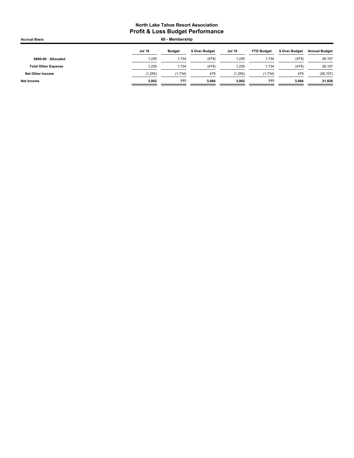| <b>Accrual Basis</b>       | 60 - Membership |               |                |               |                   |                |                      |
|----------------------------|-----------------|---------------|----------------|---------------|-------------------|----------------|----------------------|
|                            | <b>Jul 19</b>   | <b>Budget</b> | \$ Over Budget | <b>Jul 19</b> | <b>YTD Budget</b> | \$ Over Budget | <b>Annual Budget</b> |
| 8990-00 · Allocated        | 1,255           | 1.734         | (479)          | 1,255         | 1,734             | (479)          | 26,107               |
| <b>Total Other Expense</b> | 1.255           | 1,734         | (479)          | 1,255         | 1,734             | (479)          | 26,107               |
| Net Other Income           | (1, 255)        | (1,734)       | 479            | (1, 255)      | (1,734)           | 479            | (26, 107)            |
| Net Income                 | 3,862           | 777           | 3.084          | 3,862         | 777               | 3.084          | 21,826               |